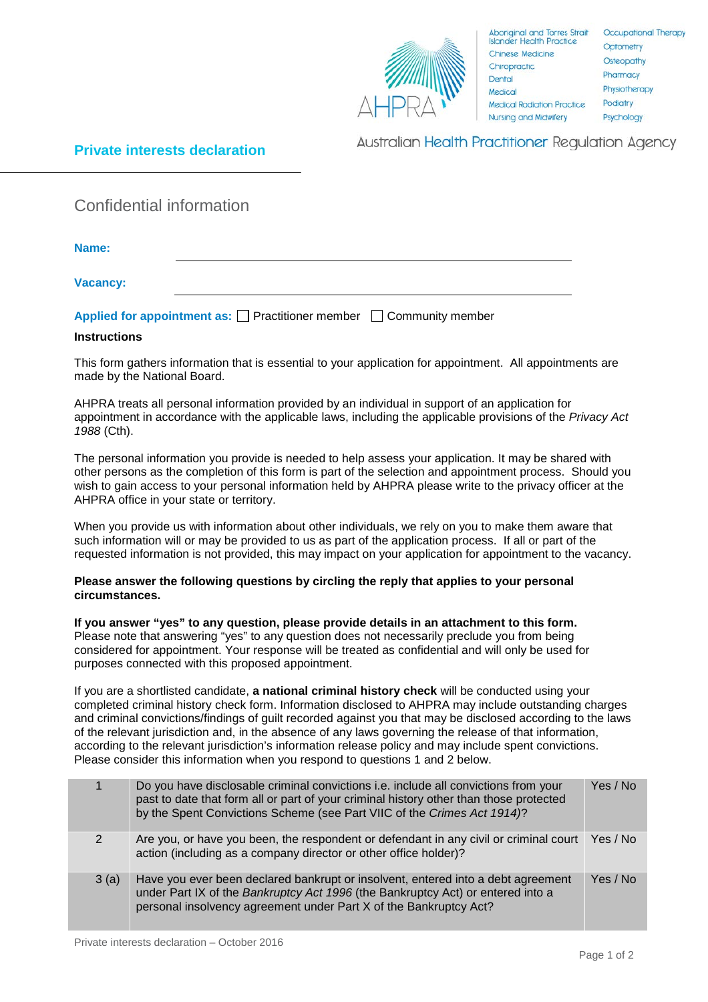

Aboriginal and Torres Strait<br>Islander Health Practice Chinese Medicine Chiropractic Dental Medical **Medical Radiation Practice** Nursing and Midwifery

## **Private interests declaration**

**Australian Health Practitioner Regulation Agency** 

Confidential information

**Name:**

**Vacancy:**

| Applied for appointment as: $\Box$ Practitioner member $\Box$ Community member |  |
|--------------------------------------------------------------------------------|--|
|--------------------------------------------------------------------------------|--|

## **Instructions**

This form gathers information that is essential to your application for appointment. All appointments are made by the National Board.

AHPRA treats all personal information provided by an individual in support of an application for appointment in accordance with the applicable laws, including the applicable provisions of the *Privacy Act 1988* (Cth).

The personal information you provide is needed to help assess your application. It may be shared with other persons as the completion of this form is part of the selection and appointment process. Should you wish to gain access to your personal information held by AHPRA please write to the privacy officer at the AHPRA office in your state or territory.

When you provide us with information about other individuals, we rely on you to make them aware that such information will or may be provided to us as part of the application process. If all or part of the requested information is not provided, this may impact on your application for appointment to the vacancy.

## **Please answer the following questions by circling the reply that applies to your personal circumstances.**

**If you answer "yes" to any question, please provide details in an attachment to this form.**  Please note that answering "yes" to any question does not necessarily preclude you from being considered for appointment. Your response will be treated as confidential and will only be used for purposes connected with this proposed appointment.

If you are a shortlisted candidate, **a national criminal history check** will be conducted using your completed criminal history check form. Information disclosed to AHPRA may include outstanding charges and criminal convictions/findings of guilt recorded against you that may be disclosed according to the laws of the relevant jurisdiction and, in the absence of any laws governing the release of that information, according to the relevant jurisdiction's information release policy and may include spent convictions. Please consider this information when you respond to questions 1 and 2 below.

|      | Do you have disclosable criminal convictions i.e. include all convictions from your<br>past to date that form all or part of your criminal history other than those protected<br>by the Spent Convictions Scheme (see Part VIIC of the Crimes Act 1914)? | Yes / No |
|------|----------------------------------------------------------------------------------------------------------------------------------------------------------------------------------------------------------------------------------------------------------|----------|
| 2    | Are you, or have you been, the respondent or defendant in any civil or criminal court<br>action (including as a company director or other office holder)?                                                                                                | Yes / No |
| 3(a) | Have you ever been declared bankrupt or insolvent, entered into a debt agreement<br>under Part IX of the Bankruptcy Act 1996 (the Bankruptcy Act) or entered into a<br>personal insolvency agreement under Part X of the Bankruptcy Act?                 | Yes / No |